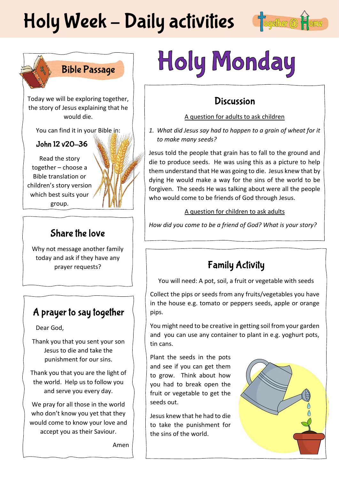# Holy Week - Daily activities fogether @



# **Bible Passage**

Today we will be exploring together, the story of Jesus explaining that he would die.

You can find it in your Bible in:

#### John 12 v20-36

Read the story together – choose a Bible translation or children's story version which best suits your group.

### Share the love

Why not message another family today and ask if they have any prayer requests?

### A prayer to say together

Dear God,

Thank you that you sent your son Jesus to die and take the punishment for our sins.

Thank you that you are the light of the world. Help us to follow you and serve you every day.

We pray for all those in the world who don't know you yet that they would come to know your love and accept you as their Saviour.

Amen

# Holy Monday

# **Discussion**

#### A question for adults to ask children

*1. What did Jesus say had to happen to a grain of wheat for it to make many seeds?*

Jesus told the people that grain has to fall to the ground and die to produce seeds. He was using this as a picture to help them understand that He was going to die. Jesus knew that by dying He would make a way for the sins of the world to be forgiven. The seeds He was talking about were all the people who would come to be friends of God through Jesus.

#### A question for children to ask adults

*How did you come to be a friend of God? What is your story?*

# **Family Activity**

You will need: A pot, soil, a fruit or vegetable with seeds

Collect the pips or seeds from any fruits/vegetables you have in the house e.g. tomato or peppers seeds, apple or orange pips.

You might need to be creative in getting soil from your garden and you can use any container to plant in e.g. yoghurt pots, tin cans.

Plant the seeds in the pots and see if you can get them to grow. Think about how you had to break open the fruit or vegetable to get the seeds out.

Jesus knew that he had to die to take the punishment for the sins of the world.

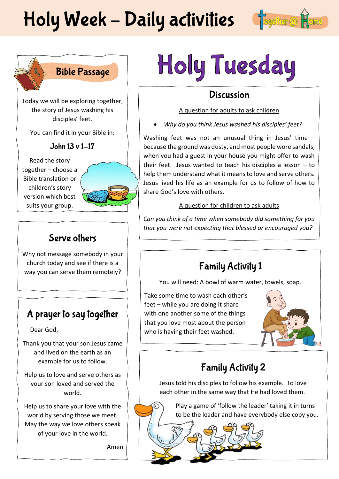# Holy Week - Daily activities fogether @





Today we will be exploring together, the story of Jesus washing his disciples' feet.

You can find it in your Bible in:

John 13 v 1-17

Read the story together – choose a Bible translation or children's story version which best suits your group.



## Serve others

Why not message somebody in your church today and see if there is a way you can serve them remotely?

# A prayer to say together

Dear God,

Thank you that your son Jesus came and lived on the earth as an example for us to follow.

Help us to love and serve others as your son loved and served the world.

Help us to share your love with the world by serving those we meet. May the way we love others speak of your love in the world.

Amen

# Holy Tuesday

# **Discussion**

#### A question for adults to ask children

• *Why do you think Jesus washed his disciples' feet?*

Washing feet was not an unusual thing in Jesus' time because the ground was dusty, and most people wore sandals, when you had a guest in your house you might offer to wash their feet. Jesus wanted to teach his disciples a lesson – to help them understand what it means to love and serve others. Jesus lived his life as an example for us to follow of how to share God's love with others.

#### A question for children to ask adults

*Can you think of a time when somebody did something for you that you were not expecting that blessed or encouraged you?*

# **Family Activity 1**

You will need: A bowl of warm water, towels, soap.

Take some time to wash each other's feet – while you are doing it share with one another some of the things that you love most about the person who is having their feet washed.



# **Family Activity 2**

Jesus told his disciples to follow his example. To love each other in the same way that He had loved them.

Play a game of 'follow the leader' taking it in turns to be the leader and have everybody else copy you.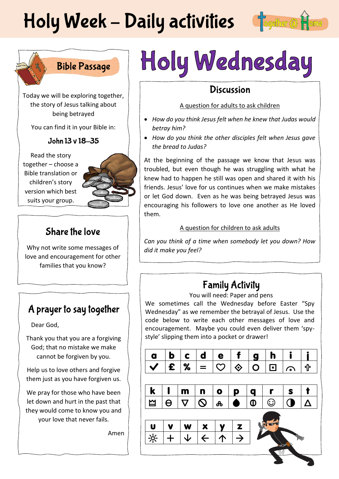# Holy Week - Daily activities fogether@







Today we will be exploring together, the story of Jesus talking about being betrayed

You can find it in your Bible in:

#### John 13 v 18-35

Read the story together – choose a Bible translation or children's story version which best suits your group.



### Share the love

Why not write some messages of love and encouragement for other families that you know?

# A prayer to say together

Dear God,

Thank you that you are a forgiving God; that no mistake we make cannot be forgiven by you.

Help us to love others and forgive them just as you have forgiven us.

We pray for those who have been let down and hurt in the past that they would come to know you and your love that never fails.

Amen

# Holy Wednesday

### **Discussion**

#### A question for adults to ask children

- *How do you think Jesus felt when he knew that Judas would betray him?*
- *How do you think the other disciples felt when Jesus gave the bread to Judas?*

At the beginning of the passage we know that Jesus was troubled, but even though he was struggling with what he knew had to happen he still was open and shared it with his friends. Jesus' love for us continues when we make mistakes or let God down. Even as he was being betrayed Jesus was encouraging his followers to love one another as He loved them.

#### A question for children to ask adults

*Can you think of a time when somebody let you down? How did it make you feel?* 

# **Family Activity**

You will need: Paper and pens

We sometimes call the Wednesday before Easter "Spy Wednesday" as we remember the betrayal of Jesus. Use the code below to write each other messages of love and encouragement. Maybe you could even deliver them 'spystyle' slipping them into a pocket or drawer!

| a                         | $\mathbf b$             | $\mathbf c$           | d                        | e                         |                   | g              | h       |      |   |
|---------------------------|-------------------------|-----------------------|--------------------------|---------------------------|-------------------|----------------|---------|------|---|
|                           | $\boldsymbol{\epsilon}$ | %                     | $=$                      | $\widetilde{\phantom{a}}$ | $\hat{\diamond}$  | $\overline{O}$ | 冋       | `ه ′ | ╬ |
|                           |                         |                       |                          |                           |                   |                |         |      |   |
| $\boldsymbol{\mathsf{k}}$ |                         | m                     | n                        | $\bullet$                 | p                 | q              |         | S    |   |
| $\mathbf{\underline{M}}$  | $\Theta$                | $\boldsymbol{\nabla}$ | $\mathsf{O}$             | ൿ                         | ●                 | $\bf \Phi$     | $\odot$ |      | Δ |
|                           |                         |                       |                          |                           |                   |                |         |      |   |
| $\mathbf{u}$              |                         | W                     | $\underline{\mathbf{x}}$ |                           | $\mathbf{z}$      |                |         |      |   |
| $\frac{1}{2}$             |                         |                       | $\overline{\leftarrow}$  | $\uparrow$                | $\overline{\div}$ |                |         |      |   |
|                           |                         |                       |                          |                           |                   |                |         |      |   |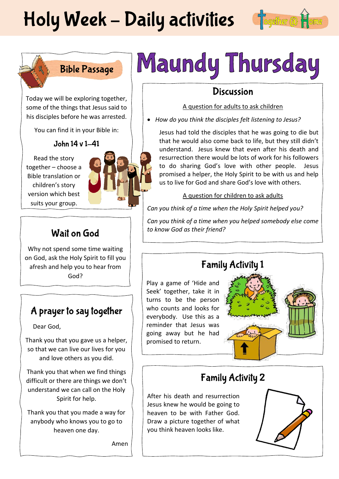# Holy Week - Daily activities fogether @



# **Bible Passage**

Today we will be exploring together, some of the things that Jesus said to his disciples before he was arrested.

You can find it in your Bible in:

#### John 14 v 1-41

Read the story together – choose a Bible translation or children's story version which best suits your group.



## Wait on God

Why not spend some time waiting on God, ask the Holy Spirit to fill you afresh and help you to hear from God?

# A prayer to say together

Dear God,

Thank you that you gave us a helper, so that we can live our lives for you and love others as you did.

Thank you that when we find things difficult or there are things we don't understand we can call on the Holy Spirit for help.

Thank you that you made a way for anybody who knows you to go to heaven one day.

Amen

# Maundy Thursday

### **Discussion**

#### A question for adults to ask children

• *How do you think the disciples felt listening to Jesus?*

Jesus had told the disciples that he was going to die but that he would also come back to life, but they still didn't understand. Jesus knew that even after his death and resurrection there would be lots of work for his followers to do sharing God's love with other people. Jesus promised a helper, the Holy Spirit to be with us and help us to live for God and share God's love with others.

#### A question for children to ask adults

*Can you think of a time when the Holy Spirit helped you?*

*Can you think of a time when you helped somebody else come to know God as their friend?*

# **Family Activity 1**

Play a game of 'Hide and Seek' together, take it in turns to be the person who counts and looks for everybody. Use this as a reminder that Jesus was going away but he had promised to return.



# **Family Activity 2**

After his death and resurrection Jesus knew he would be going to heaven to be with Father God. Draw a picture together of what you think heaven looks like.

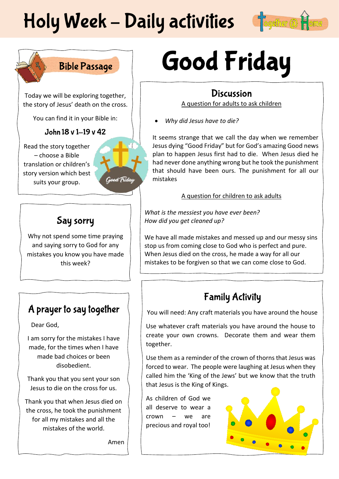# Holy Week - Daily activities



# **Bible Passage**

Today we will be exploring together, the story of Jesus' death on the cross.

You can find it in your Bible in:

#### John 18 v 1-19 v 42

Read the story together – choose a Bible translation or children's story version which best suits your group.



# Say sorry

Why not spend some time praying and saying sorry to God for any mistakes you know you have made this week?

# A prayer to say together

Dear God,

I am sorry for the mistakes I have made, for the times when I have made bad choices or been disobedient.

Thank you that you sent your son Jesus to die on the cross for us.

Thank you that when Jesus died on the cross, he took the punishment for all my mistakes and all the mistakes of the world.

Amen

# **Good Friday**

### **Discussion**

A question for adults to ask children

• *Why did Jesus have to die?*

It seems strange that we call the day when we remember Jesus dying "Good Friday" but for God's amazing Good news plan to happen Jesus first had to die. When Jesus died he had never done anything wrong but he took the punishment that should have been ours. The punishment for all our mistakes

#### A question for children to ask adults

*What is the messiest you have ever been? How did you get cleaned up?*

We have all made mistakes and messed up and our messy sins stop us from coming close to God who is perfect and pure. When Jesus died on the cross, he made a way for all our mistakes to be forgiven so that we can come close to God.

# **Family Activity**

You will need: Any craft materials you have around the house

Use whatever craft materials you have around the house to create your own crowns. Decorate them and wear them together.

Use them as a reminder of the crown of thorns that Jesus was forced to wear. The people were laughing at Jesus when they called him the 'King of the Jews' but we know that the truth that Jesus is the King of Kings.

As children of God we all deserve to wear a crown – we are precious and royal too!